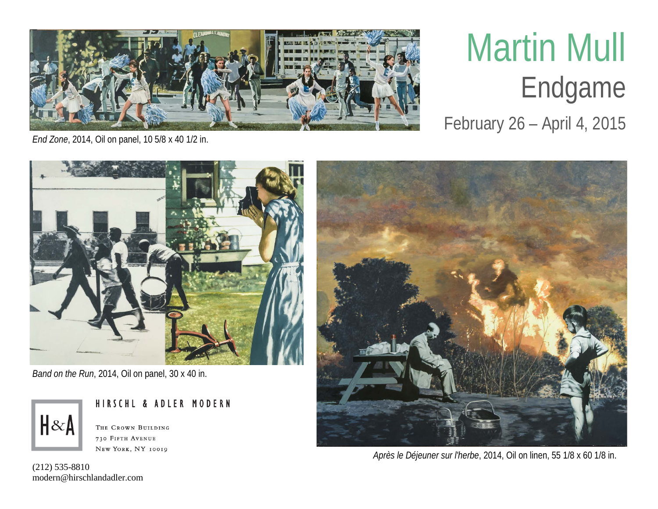

## Martin Mull Endgame

February 26 – April 4, 2015

*End Zone*, 2014, Oil on panel, 10 5/8 x 40 1/2 in.



*Band on the Run*, 2014, Oil on panel, 30 x 40 in.



HIRSCHL & ADLER MODERN THE CROWN BUILDING

730 FIFTH AVENUE NEW YORK, NY 10019



*Après le Déjeuner sur l'herbe*, 2014, Oil on linen, 55 1/8 x 60 1/8 in.

(212) 535-8810 modern@hirschlandadler.com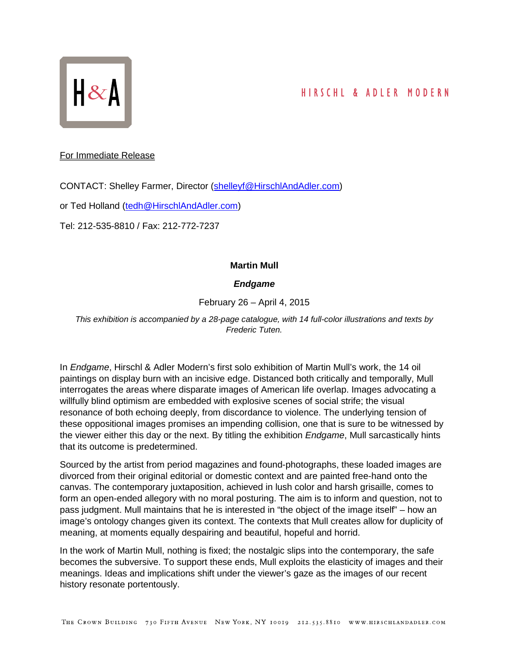

## HIRSCHL & ADLER MODERN

For Immediate Release

CONTACT: Shelley Farmer, Director [\(shelleyf@HirschlAndAdler.com\)](mailto:shelleyf@HirschlAndAdler.com)

or Ted Holland [\(tedh@HirschlAndAdler.com\)](mailto:tedh@HirschlAndAdler.com)

Tel: 212-535-8810 / Fax: 212-772-7237

## **Martin Mull**

## *Endgame*

February 26 – April 4, 2015

*This exhibition is accompanied by a 28-page catalogue, with 14 full-color illustrations and texts by Frederic Tuten.*

In *Endgame*, Hirschl & Adler Modern's first solo exhibition of Martin Mull's work, the 14 oil paintings on display burn with an incisive edge. Distanced both critically and temporally, Mull interrogates the areas where disparate images of American life overlap. Images advocating a willfully blind optimism are embedded with explosive scenes of social strife; the visual resonance of both echoing deeply, from discordance to violence. The underlying tension of these oppositional images promises an impending collision, one that is sure to be witnessed by the viewer either this day or the next. By titling the exhibition *Endgame*, Mull sarcastically hints that its outcome is predetermined.

Sourced by the artist from period magazines and found-photographs, these loaded images are divorced from their original editorial or domestic context and are painted free-hand onto the canvas. The contemporary juxtaposition, achieved in lush color and harsh grisaille, comes to form an open-ended allegory with no moral posturing. The aim is to inform and question, not to pass judgment. Mull maintains that he is interested in "the object of the image itself" – how an image's ontology changes given its context. The contexts that Mull creates allow for duplicity of meaning, at moments equally despairing and beautiful, hopeful and horrid.

In the work of Martin Mull, nothing is fixed; the nostalgic slips into the contemporary, the safe becomes the subversive. To support these ends, Mull exploits the elasticity of images and their meanings. Ideas and implications shift under the viewer's gaze as the images of our recent history resonate portentously.